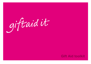# giftaid it

# **Gift Aid toolkit**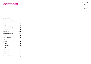# **contents**

Gift Aid toolkit 14.06.02

**page 2**

| what is Gift Aid?             | 3              |  |
|-------------------------------|----------------|--|
| why a new brand?              | 4              |  |
| how do I use this toolkit?    | 5              |  |
| the logo                      | 6              |  |
| - colour versions             | $\overline{7}$ |  |
| - minimum size and clear area | 8              |  |
| the description               | 9              |  |
| the declaration               | 10             |  |
| a model Gift Aid form         | 11             |  |
| oral declaration              | 12             |  |
| master artworks               | 13             |  |
| what to do                    |                |  |
| - space                       | 14             |  |
| - position                    | 15             |  |
| - description                 | 16             |  |
| media<br>$\equiv$             | 17             |  |
| - sponsorship                 | 18             |  |
| - tone of voice               | 19             |  |
| things to avoid               | 21             |  |
| questions and answers         | 22             |  |
| what next?                    | 23             |  |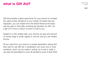# **what is Gift Aid?** Gift Aid **Aid Reserves And Allian Security Aid toolkit**

**page 3**

Gift Aid provides a great opportunity for your donors to increase the value of their donations to your charity. Provided they are taxpayers, you can reclaim from the Inland Revenue the basic rate tax paid on their gifts, boosting the donation by 28%. So a gift of £10 from a donor is worth £12.80 to you.

Subject to a few simple rules, your donors can give any amount of money, large or small, regular or one-off, and you can reclaim the tax.

All you need from your donor is a simple declaration saying that they want to use Gift Aid. A declaration can cover one or more donations, and it can be made in writing, by e-mail or orally. It can also be backdated to cover all donations since 6 April 2000.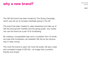# **why a new brand?**

Gift Aid toolkit 14.06.02

**page 4**

The Gift Aid brand has been funded by The Giving Campaign, which was set up to increase charitable giving in the UK.

The brand has been created to raise awareness and take up of Gift Aid among both charities and the giving public. Any charity can use the brand as a part of its fundraising.

By creating a recognisable logo and a consistent form of words we hope that fundraisers can establish Gift Aid as the obvious way to raise money.

The more the brand is used, the more the public will see a clear and consistent image of Gift Aid – an image that is positive, friendly and simple.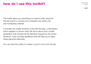# **how do I use this toolkit?**

Gift Aid toolkit 14.06.02

**page 5**

This toolkit gives you everything you need to start using the Gift Aid brand in a strong and consistent way within your own fundraising material.

It includes the master artworks of the Gift Aid logo, a description which explains to donors what Gift Aid is about and a model declaration that includes all the elements required by the Inland Revenue. It also includes guidelines that will help you to apply these elements effectively.

You can view this toolkit on screen or print it out (in A4 format).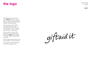# **the logo**

**page 6**

The Gift Aid logo is made up of the words **'giftaid it'** written in a unique script. It is designed to be eye-catching, while also sitting comfortably within any charity's communications style.

We want people to think of Gift Aid as an action rather than a thing, something dynamic rather than static. To emphasise this, we have made the logo into a verb – a call to action.

You should refer to 'Gift Aid' when talking about it in text. But the logo always says **'giftaid it'** (never 'giftaid' or 'Gift Aid it'). And it is always written in this script.

We have created master artworks of the logo. See page 13 for more information.

For examples of how the Gift Aid logo can be used, see pages 14-20.

giftaidit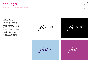# **the logo colour versions**

Gift Aid toolkit 14.06.02

**page 7**

You may use the Gift Aid logo in any colour, provided it stands out from the background it appears on.

We have created master artworks of a black version for use on light backgrounds, and a white version for use on dark backgrounds. (See page 13 for the names of master artworks).

If you need to use the logo in another colour, you may edit the colour of the master artwork as necessary.

This page shows some examples of colour versions which work well.

giftaidit

giftaid it

giftaidit

giftaidit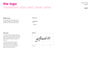# **the logo minimum size and clear area**

**page 8**

### **Minimum size**

We measure the Gift Aid logo across its width. Please do not use the logo smaller than 18mm wide (as shown).

### **minimum size**



### **Clear area**

To make sure the logo always appears clear and prominent, please allow a clear area around it whenever you use it. No text or graphics should encroach into this area.

The clear area should be equal to one fifth of the width of the logo (as shown). So if you are using the logo at 40mm wide, please allow a clear area of 8mm around it.

### **clear area**

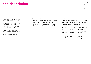# **the description**

**page 9**

To make sure we build a consistent way of talking about Gift Aid, we have created a standard description which explains clearly what Gift Aid does and what the benefits are of using it. Please try to use the description where possible.

Opposite are two versions, one giving a simple description, the other giving a description with an example of how Gift Aid can boost a donation. The figures given in the second description can be scaled down or up, depending on the type of donor you are targeting.

### **Simple description**

Use Gift Aid and you can make your donation worth more. For every pound you give to us, we get an extra 28 pence from the Inland Revenue. So just tick here. It's that simple.

### **Description with example**

Using Gift Aid means that for every pound you give, we get an extra 28 pence from the Inland Revenue, helping your donation go further.

This means that £100 can be turned into £128, just so long as donations are made through Gift Aid. Imagine what a difference that could make, and it doesn't cost you a thing.

So if you want your donation to go further, Gift Aid it. Just tick here. It's that simple.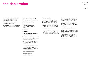# **the declaration**

**page 10**

The declaration is the most important part of Gift Aid, as it records the information required by the Inland Revenue to allow you to reclaim the tax paid on the donation.

Opposite are the six essential elements that provide the minimum information required:

### **1 The name of your charity**

This may be printed in your usual style.

### **2 The full name of donor**

- This could be:
- title, initials and surname
- first name and surname, or
- initials and surname.
- **3 Address**
- **4 Postcode**

### **5 The donation(s) to be covered by the declaration**

This can cover a specific gift or can be open ended. For example, you can ask for one or more of the following:

- all donations I make from the date of this declaration until I notify you otherwise
- all donations I've made to [name of charity] since 6 April 2000 and all donations I make in the future until I notify you otherwise
- the enclosed donation of £.......
- the donation(s) of £..... which I made on.......

### **6 The tax condition**

This should explain clearly to donors that they must be UK taxpayers and pay sufficient tax to use Gift Aid. For example, if you want to reclaim £10 on a donation, the donor must pay at least £10 income or capital gains tax during that tax year. Our recommended wording is:

- To qualify for Gift Aid, what you pay in income tax or capital gains tax must at least equal the amount we will claim in the tax year.

You do not need to get a signature from the donor and you are not required to have the declaration dated unless it is necessary to identify the donation, for example, "all donations I make from the date of this declaration until I notify you otherwise".

In addition to the Inland Revenue requirements, you should ensure that it satisfies any other legal requirements. If you are a registered charity, the Charities Act 1993, requires you to state this. If you plan to use the information for any reason other than to reclaim tax, the Data Protection Act 1998 requires you to explain this.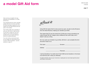# **a model Gift Aid form**

Here we have put together the logo, description and declaration in a model Gift Aid form.

The model Gift Aid form shown opposite explains Gift Aid to the donor and asks for all the information required for you to reclaim from the Inland Revenue the tax paid on the donation.

This model is really only an example of what your Gift Aid form might look like. You are free to create your own form using your own words, as long as it includes all the six required elements that we've outlined previously.

If you are running a sponsored event, you can adapt your sponsorship forms to ask for Gift Aid donations – see the example on page 18.

giftaid it

Using Gift Aid means that for every pound you give, we get an extra 28 pence from the Inland Revenue, helping your donation go further.

This means that £10 can be turned into £12.80 just so long as donations are made through Gift Aid. Imagine what a difference that could make, and it doesn't cost you a thing.

So if you want your donation to go further, Gift Aid it. Just complete this form and send it back to us.

*First name Surname*

*Address*

*Postcode*

*I want all donations I've made since 6 April 2000 and all donations in the future to be Gift Aid until I notify you otherwise.*

To qualify for Gift Aid, what you pay in income tax or capital gains tax must at least equal the amount we will claim in the tax year.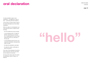# **oral declaration**

**page 12**

It is also possible to get an oral declaration – by telephone or face to face – authorising Gift Aid donations.

In this case you simply need to ask for the same information as in the written declaration.

When you take an oral declaration you must send the donor a written record showing:

- all of the details they have provided
- a note explaining that, to qualify for Gift Aid, what they pay in income tax or capital gains tax must at least equal the amount you will claim in the tax year
- a note explaining that the donor can cancel the declaration retrospectively within 30 days
- the date the declaration was taken
- the date the written confirmation is sent to the donor.

One copy of the declaration should be sent to the donor and one copy kept by the charity for its records.

So long as the donor does not cancel the declaration within 30 days, it is effective.

# **"hello"**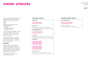# **master artworks**

We have created master artworks of the Gift Aid logo and description which are available on the CD 'Gift Aid toolkit'.

### **Logo**

Master artworks of the logo exist in the following formats:

- EPS (Mac),
- Windows Metafile (PC),
- JPEG (Mac or PC).

The EPS and Windows Metafile artworks have been created at 100mm across their width. They can be scaled up or down as necessary.

The JPEG artworks are not scaleable and have been created in a range of sizes. Please choose the size which fits your document best.

### **Description**

Master artworks containing the two versions of the description have been created in Microsoft Word. These can be copied and pasted into most programs. (When doing this, please take care not to alter the text in any way).

This page shows the names of all master artworks in pink.

### **EPS format**

**Gift Aid 100mm black.eps Gift Aid 100mm white.eps**

Mac compatible scaleable for use in desktop publishing and drawing programs

### **Windows Metafile format**

**Gift Aid 100mm black.wmf Gift Aid 100mm white.wmf**

PC compatible scaleable for use in desktop publishing and word-processing programs

### **JPEG format**

**Gift Aid 100mm black.jpg Gift Aid 50mm black.jpg Gift Aid 40mm black.jpg Gift Aid 30mm black.jpg**

**Gift Aid 100mm white.jpg Gift Aid 50mm white.jpg Gift Aid 40mm white.jpg Gift Aid 30mm white.jpg**

Mac or PC compatible non-scaleable for use in word-processing and presentation programs

### **Logo master artworks Description master artworks**

**Microsoft Word format**

**Gift Aid description simple.doc Gift Aid description plus.doc**

Mac or PC compatible for copying and pasting into most programs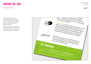# **what to do space**

**page 14**

The following pages show some examples of ways in which you can use the Gift Aid logo and description. It is not an exhaustive list, but gives a flavour of how the brand can be applied successfully.

As this image shows, the Gift Aid logo stands out best when you allow some clear space around it. Please observe the clear area described on page 8.

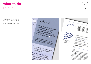# **what to do position**

The Gift Aid logo needs to attract people's attention, and lead them into the description. This works best when the logo is positioned above or to the left of the description, as shown here.

 $Jiftaidit$ giftaid it low Use Gift Aid and you can make<br>your donation worth make<br>for every pound orth more Use Gift Aid and you can n Se Gift Aid and you can may<br>for every pound worth more.<br>we get an ewnd you give. Use Gift Aid and you can m<br>you give to us more, for e<br>from the lots, we get an<br>e.... the lots ... we get an oonation worth more, For a<br>from the lows, we get for e<br>from the lows, we get an ex-<br>So just lick here For every pound you can make<br>we get an extra 28 pence to us,<br>the Inland Reven as Dence from you give to us, we get an<br>from the lolus, we get an<br>So just tick here. It's mue. from the inlind Revenue.<br>So just lick here. It's that sime.<br>Mist lick here. It's that sime. we get an extra 28 pence from<br>the Inland Revenue Sive to us,<br>the Inland Revenue So just to us,<br>here, It's that single. So just to the Inland Revenue. So just tick<br>here. It's that simple. So just tick Declaration here. It's that simple. to the Royal I want the charity to treat (please) Academy the enclosed donation of To qualify for Gift Aid, what you pay in **Trust** the domation(s) of f income tax or Gift Aid, what you pay in<br>the amount we will claim in the tax was equal Please complete all donations I make from the date<br>the date of the date of the date of the date the amount we will claim in the tax year. in block complete all donations I make from the day<br>the date of this declaration and since 6 throughout all donations I have made since 6<br>the date of this declaration until I not<br>as Cift Ald donations. as Gift Aid donations I would like further information<br>about supporting RNID with  $D_{\text{a}_{\text{fe}}}$ about supporting RNID with a<br>standing order.<br>Standing order.  $N<sub>Oles</sub>$ standing order. Trotes<br>
2 You must pay an amount of income<br>
to the tax that the Rough of income the<br>
(as of r.a. that the Rough of income the ou can cancel this declaration at any tir<br>to the tax that the Royal accomentation<br>(as of 6 April 2000, 28 Academy to tax a<br>Hin the 6 Pril 2000, 28 Academy to tax a **Post your donation, Please**<br> **Prope it with this form in the provident** tournust pay an amount of income tax a<br>to the tax that the Rount of income tax a<br>(as of 5 April 2000, 28p for each 4)<br>If in the future your circum tech 4) you. o the tax that the Royal Academy reclaims<br>(as of 5 April 2000, 28p for each *technic tax a*<br>If in the future your circumstances of your give<br>income and capital gains. rust your donation, please<br>velope provided sorm in the<br>tress (overload so that put as of 6 April 2000, 28p for each fixed income taxa<br>3 If in the future your circumstances change<br>income and capital gains equal to the future of the state of the final<br>700 can cancel your devise of the final velope provided so that RNID's<br>Iress (overled so that RNID's income and capital gains equal to the tax it.<br>Tou can cancel your circumstances change.<br>Tou can cancel your declarate change. *fress (overleaf)* show you can can capital gains equ 4 If you pay tax as

Gift Aid toolkit 14.06.02

**page 15**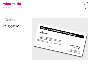# **what to do description**

**page 16**

This page shows how you can set and position the Gift Aid description. (In this example we are using the simple version.)

You may wish to ask the donor to sign rather than tick a box, as this example shows. In this case you will need to amend the text so it reads "sign here" rather than "tick here".

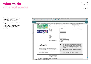# **what to do different media**

Gift Aid toolkit 14.06.02

**page 17**

The Gift Aid brand should not be limited to leaflet applications. You can use the logo and description wherever you are asking people for support, for example on your web site.

If you are using the description on your web site, you will need to amend the text so it reads "click here" rather than "tick here".

|                                                                                                                                                                                                                                                                                                                                                                                                                                                                                                                                                                                                                | WWF-UK: Join WWF-UK - enter personal details                                                                                                                                                                                                                                                                                                                                                                                                                                                                                                                                                                                                 | 回目  |
|----------------------------------------------------------------------------------------------------------------------------------------------------------------------------------------------------------------------------------------------------------------------------------------------------------------------------------------------------------------------------------------------------------------------------------------------------------------------------------------------------------------------------------------------------------------------------------------------------------------|----------------------------------------------------------------------------------------------------------------------------------------------------------------------------------------------------------------------------------------------------------------------------------------------------------------------------------------------------------------------------------------------------------------------------------------------------------------------------------------------------------------------------------------------------------------------------------------------------------------------------------------------|-----|
| e<br>Ж<br>斎<br><b>Refresh</b><br>AutoFill<br>Print<br>Mail<br>Back<br>Forward<br>Stop<br><b>Home</b><br>Address<br>https://secure.vrvf.org.uk/pdd/member.asp                                                                                                                                                                                                                                                                                                                                                                                                                                                   |                                                                                                                                                                                                                                                                                                                                                                                                                                                                                                                                                                                                                                              | 700 |
|                                                                                                                                                                                                                                                                                                                                                                                                                                                                                                                                                                                                                |                                                                                                                                                                                                                                                                                                                                                                                                                                                                                                                                                                                                                                              | 33  |
| C Live Home Page C Apple Computer C Apple Support C Apple Store C Microsoft MacTiglia C Office for Mackhoth<br><b>LUT OVVA</b><br>ш<br>As a Companion with a donation of £5 a month<br>cп<br>As a Benefactor with a donation of £10 a month<br>swin<br>Title<br>First name<br>Surname<br>Just for kids<br>Address<br>Town<br>County<br>s<br>Postcode<br>Phone<br>E-mail<br>Date of birth (if under 18)<br>giftaid it<br>Use Gift Aid and you can make your donation worth more.<br>For every pound you give to us, we get an extra 28 pence from<br>the Inland Revenue. So, just click here. It's that simple. | C Internet Explorer EB Microsoft Veb Sites<br>WITH THE TOTAL TELEVISION<br>membership gifts, a<br>distinguished certificate, the<br>panda lapel pin and a free<br>subscription to Living Planet<br>Miss 0<br>magazine. You may also be<br>invited to special WWF events.<br>$\div$<br>dd ≑<br>mmmm<br>ww ≑<br>۰<br>Yes, please treat all my donations from 6 April 2000 and<br>until further notice as Gift Aid. I confirm I pay an amount of<br>income tax and/or capital gains tax at least equal to the tax<br>that WWF will reclaim on my donations in the tax year.<br>o<br>No, I do not pay income tax or capital gains tax in the UK. |     |
| To qualify for GIR Ad, what you pay in income tax or capital gains tax must equal<br>the amount we will claim in the fax year.                                                                                                                                                                                                                                                                                                                                                                                                                                                                                 | О<br>I am unsure of my tax status.<br>$\circ$<br>I would prefer not to make a Gift Aid declaration.                                                                                                                                                                                                                                                                                                                                                                                                                                                                                                                                          |     |
| reset<br>next stage >>                                                                                                                                                                                                                                                                                                                                                                                                                                                                                                                                                                                         |                                                                                                                                                                                                                                                                                                                                                                                                                                                                                                                                                                                                                                              |     |
| Top of page   Data Protection   Copyright   Photograph credits                                                                                                                                                                                                                                                                                                                                                                                                                                                                                                                                                 |                                                                                                                                                                                                                                                                                                                                                                                                                                                                                                                                                                                                                                              |     |
| <b>BO</b> Connection to secure wwf.org.uk is secure (RC4-128)                                                                                                                                                                                                                                                                                                                                                                                                                                                                                                                                                  |                                                                                                                                                                                                                                                                                                                                                                                                                                                                                                                                                                                                                                              |     |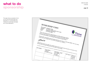# **what to do sponsorship**

**page 18**

This page shows an example of how you can use the Gift Aid logo and description on a sponsorship form. It follows the same basic principles as for other applications.

| SPONSORSHIP FORM<br>FULL NAME: ANDREW OTHER<br>EVENT:<br>123 STREET NAME, TOWN, POST CODE<br>DATE:                                                                                                                                                                                                                                                                                                                                                                                                                                                                                                                                                                                                                                                                                                                                                                    |  |
|-----------------------------------------------------------------------------------------------------------------------------------------------------------------------------------------------------------------------------------------------------------------------------------------------------------------------------------------------------------------------------------------------------------------------------------------------------------------------------------------------------------------------------------------------------------------------------------------------------------------------------------------------------------------------------------------------------------------------------------------------------------------------------------------------------------------------------------------------------------------------|--|
| LONDON MARATHON<br>14TH APRIL, 2002<br>Thrive is the national charity using eardening to enable disadvantaged, disabled,<br>young and older people to participate fully in the section of experiments of $\frac{1}{2}$ and $\frac{1}{2}$ and $\frac{1}{2}$ and $\frac{1}{2}$ and $\frac{1}{2}$ and $\frac{1}{2}$ and $\frac{1}{2}$ and $\frac{1}{2}$ and $\frac{1}{2}$ and $\frac{1}{2}$ and $\frac{$<br>young and oner people to participate tory in the social and economic metallicity. Andrew's run will benefit Thrive's Battersea Garden Project.<br><b>TRANSES &amp; ENFLOYMENT, TRANSPORT &amp; REALIST</b><br><b>CHRISTING AND AGENCY PRESS</b><br>To help collect spansorship, would you please poss-date your cheque/s to l5th April, 2002? If for any reason,<br>Andrew does not complete the course, Thrive was provided your chequer's or<br>giftaid it |  |
| $U_{22}$ $_{\alpha_{thres}}$ $_{f_{2\alpha_{th}}}$ and you can make your donation worth more, For every pound you give to us, we get an extra<br>28 pence from the Inland Revenue, So just tick below it's that simple,<br>To quality for Gift Ald, what you pay in Income tex or capital gains tex must at least equal the amount we will claim in the tax year.<br>(per mile,<br><b>GIFT AID IT</b><br>or TOTAL EJ<br>Would you<br>like details<br>of $\eta_{w _{\mathcal{W}\theta_S^c}}$<br>$^{Work2}$ ( )                                                                                                                                                                                                                                                                                                                                                         |  |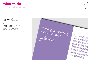# **what to do tone of voice**

The image on this page shows how the Gift Aid logo can be incorporated into the text of your communication where appropriate.

Because of the way it is written, the Gift Aid logo can be used very effectively as an answer to a question, as shown.

The following page shows some more examples of how you could do this.

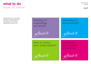# **what to do tone of voice**

**page 20**

This page shows how you can reinforce the Gift Aid message by incorporating the logo into your communication. The examples shown are notional – please feel free to create your own.

**thinking of supporting our work?**

giftaidit

**time to renew your subscription?**



**interested in sponsorship?**

giftaid it

**would you like to make a donation?**

giftaidit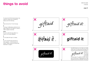# **things to avoid**

To ensure the Gift Aid brand always has maximum impact and consistency, please avoid the following:

### **1**

Never remove the 'it' from the logo.

### **2**

The logo is deliberately positioned at an angle. Please do not rotate it in order to make it appear horizontal.

### **3 & 4**

Do not re-write the logo (either in a script or non-script typeface).

### **5**

Do not place the logo in a shape.

### **6**

Do not crowd the logo with text or other graphics – this will reduce its impact. Please observe the clear area described on page 8.



**1**









**4**

**6**

Use Gift Aid and you can make your donat worth more. For every pound you give to us we get an extra 28 pence from the Inland

giftaid it **Revenue** So, if you

a UK taxp just tick he

It's that simple. To qualify for Gift Aid, what pay in income tax or capital gains tax must equal the amount we will claim in the tax ye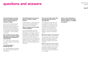# **questions and answers**

### **Can Gift Aid apply to amounts raised from sponsored events such as sponsored walks or marathon running?**

Yes – the amount raised from each sponsor can count as a Gift Aid donation as long as the sponsor has been asked to make a declaration. You can modify the sponsorship form to include the information necessary for a declaration – see the example on page 18.

### **Can we thank donors by giving them some sort of gift or benefit and still have the donation fall within Gift Aid?**

Yes – within reason. There are limits to the level of benefit or value of gift to the donor.

### **Can Gift Aid apply to membership fees?**

Yes – provided again that the value of the benefit to the donor is within the limits allowed.

### **Can Gift Aid apply to the amount paid for an item in a charity auction?**

In many cases it can, depending on the nature of the item sold and whether a market value can be established.

### **What if a husband and wife make a joint declaration?**

If you have a declaration from each person and the donors tell you how the donation is to be split, you can treat the donation as two separate Gift Aid donations in the normal way. Otherwise, if you receive a donation drawn on a joint bank account, you can assume the donation is from the account holder who signed the cheque or mandate and you need to have a Gift Aid declaration from that person.

### **How can the charity reclaim 28% when the basic rate of tax is currently 22%?**

This is because the basic rate of tax is calculated on the gross amount of the donation. A net donation of £100 when grossed at 22% gives the sum of £128.21. The tax repayment is therefore £128.21 less £100, which is £28.21. To work out the exact tax, multiply the amount of the donation by 22/78.

### **What about higher rate taxpayers?**

As they pay tax at 40%, they can claim tax relief for themselves at 18% (40% less 22%) of the gross donation by including the donation in their annual tax return.

### **What records will I need to keep?**

You must be able to show an audit trail linking each donation to a donor who has given you a Gift Aid declaration. Your records can be held in paper form or on computer.

**There is more information on all these matters in the Inland Revenue guidance to charities – see page 23.**